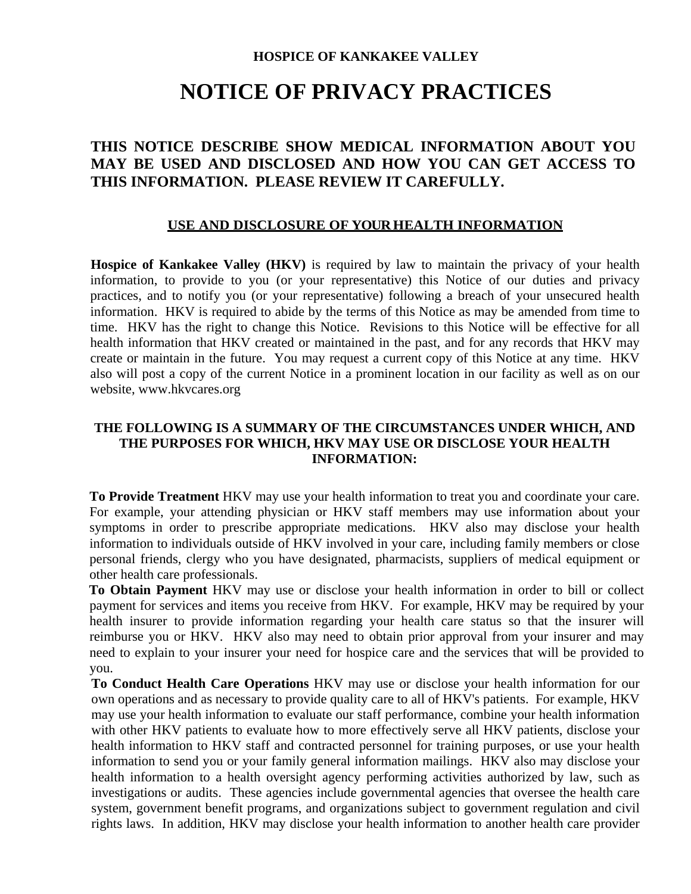#### **HOSPICE OF KANKAKEE VALLEY**

# **NOTICE OF PRIVACY PRACTICES**

## **THIS NOTICE DESCRIBE SHOW MEDICAL INFORMATION ABOUT YOU MAY BE USED AND DISCLOSED AND HOW YOU CAN GET ACCESS TO THIS INFORMATION. PLEASE REVIEW IT CAREFULLY.**

#### **USE AND DISCLOSURE OF YOUR HEALTH INFORMATION**

**Hospice of Kankakee Valley (HKV)** is required by law to maintain the privacy of your health information, to provide to you (or your representative) this Notice of our duties and privacy practices, and to notify you (or your representative) following a breach of your unsecured health information. HKV is required to abide by the terms of this Notice as may be amended from time to time. HKV has the right to change this Notice. Revisions to this Notice will be effective for all health information that HKV created or maintained in the past, and for any records that HKV may create or maintain in the future. You may request a current copy of this Notice at any time. HKV also will post a copy of the current Notice in a prominent location in our facility as well as on our website, www.hkvcares.org

#### **THE FOLLOWING IS A SUMMARY OF THE CIRCUMSTANCES UNDER WHICH, AND THE PURPOSES FOR WHICH, HKV MAY USE OR DISCLOSE YOUR HEALTH INFORMATION:**

**To Provide Treatment** HKV may use your health information to treat you and coordinate your care. For example, your attending physician or HKV staff members may use information about your symptoms in order to prescribe appropriate medications. HKV also may disclose your health information to individuals outside of HKV involved in your care, including family members or close personal friends, clergy who you have designated, pharmacists, suppliers of medical equipment or other health care professionals.

**To Obtain Payment** HKV may use or disclose your health information in order to bill or collect payment for services and items you receive from HKV. For example, HKV may be required by your health insurer to provide information regarding your health care status so that the insurer will reimburse you or HKV. HKV also may need to obtain prior approval from your insurer and may need to explain to your insurer your need for hospice care and the services that will be provided to you.

**To Conduct Health Care Operations** HKV may use or disclose your health information for our own operations and as necessary to provide quality care to all of HKV's patients. For example, HKV may use your health information to evaluate our staff performance, combine your health information with other HKV patients to evaluate how to more effectively serve all HKV patients, disclose your health information to HKV staff and contracted personnel for training purposes, or use your health information to send you or your family general information mailings. HKV also may disclose your health information to a health oversight agency performing activities authorized by law, such as investigations or audits. These agencies include governmental agencies that oversee the health care system, government benefit programs, and organizations subject to government regulation and civil rights laws. In addition, HKV may disclose your health information to another health care provider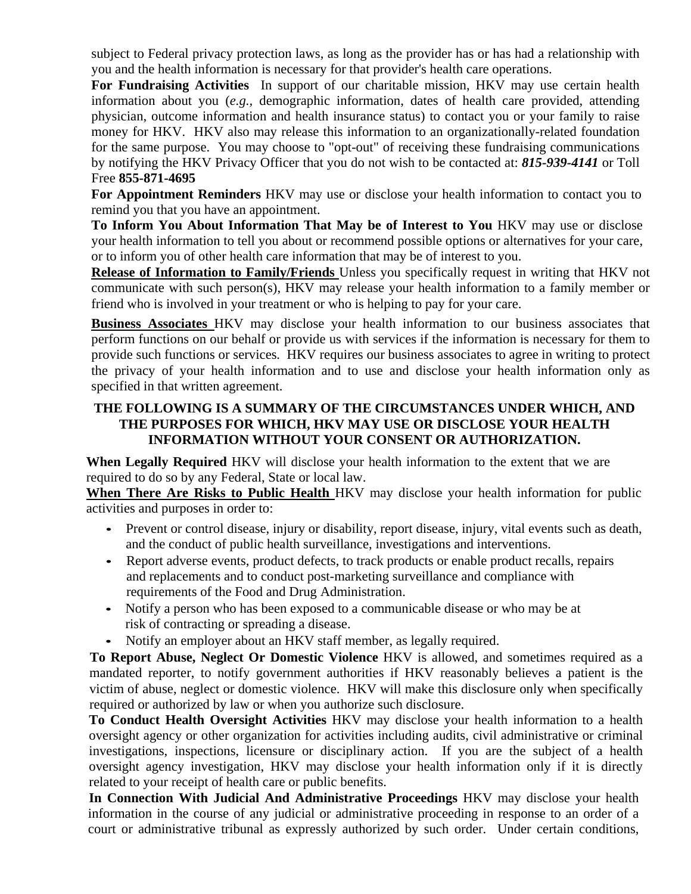subject to Federal privacy protection laws, as long as the provider has or has had a relationship with you and the health information is necessary for that provider's health care operations.

**For Fundraising Activities** In support of our charitable mission, HKV may use certain health information about you (*e.g.,* demographic information, dates of health care provided, attending physician, outcome information and health insurance status) to contact you or your family to raise money for HKV. HKV also may release this information to an organizationally-related foundation for the same purpose. You may choose to "opt-out" of receiving these fundraising communications by notifying the HKV Privacy Officer that you do not wish to be contacted at: *815-939-4141* or Toll Free **855-871-4695** 

**For Appointment Reminders** HKV may use or disclose your health information to contact you to remind you that you have an appointment.

**To Inform You About Information That May be of Interest to You** HKV may use or disclose your health information to tell you about or recommend possible options or alternatives for your care, or to inform you of other health care information that may be of interest to you.

**Release of Information to Family/Friends** Unless you specifically request in writing that HKV not communicate with such person(s), HKV may release your health information to a family member or friend who is involved in your treatment or who is helping to pay for your care.

**Business Associates** HKV may disclose your health information to our business associates that perform functions on our behalf or provide us with services if the information is necessary for them to provide such functions or services. HKV requires our business associates to agree in writing to protect the privacy of your health information and to use and disclose your health information only as specified in that written agreement.

### **THE FOLLOWING IS A SUMMARY OF THE CIRCUMSTANCES UNDER WHICH, AND THE PURPOSES FOR WHICH, HKV MAY USE OR DISCLOSE YOUR HEALTH INFORMATION WITHOUT YOUR CONSENT OR AUTHORIZATION.**

**When Legally Required** HKV will disclose your health information to the extent that we are required to do so by any Federal, State or local law.

**When There Are Risks to Public Health** HKV may disclose your health information for public activities and purposes in order to:

- Prevent or control disease, injury or disability, report disease, injury, vital events such as death, and the conduct of public health surveillance, investigations and interventions.
- Report adverse events, product defects, to track products or enable product recalls, repairs and replacements and to conduct post-marketing surveillance and compliance with requirements of the Food and Drug Administration.
- Notify a person who has been exposed to a communicable disease or who may be at risk of contracting or spreading a disease.
- Notify an employer about an HKV staff member, as legally required.

**To Report Abuse, Neglect Or Domestic Violence** HKV is allowed, and sometimes required as a mandated reporter, to notify government authorities if HKV reasonably believes a patient is the victim of abuse, neglect or domestic violence. HKV will make this disclosure only when specifically required or authorized by law or when you authorize such disclosure.

**To Conduct Health Oversight Activities** HKV may disclose your health information to a health oversight agency or other organization for activities including audits, civil administrative or criminal investigations, inspections, licensure or disciplinary action. If you are the subject of a health oversight agency investigation, HKV may disclose your health information only if it is directly related to your receipt of health care or public benefits.

**In Connection With Judicial And Administrative Proceedings** HKV may disclose your health information in the course of any judicial or administrative proceeding in response to an order of a court or administrative tribunal as expressly authorized by such order. Under certain conditions,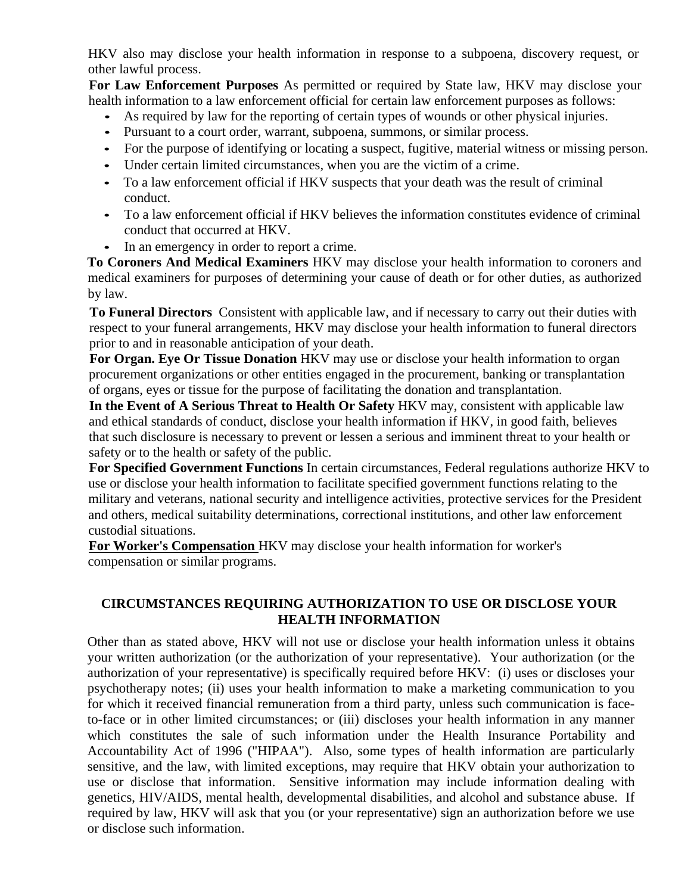HKV also may disclose your health information in response to a subpoena, discovery request, or other lawful process.

**For Law Enforcement Purposes** As permitted or required by State law, HKV may disclose your health information to a law enforcement official for certain law enforcement purposes as follows:

- As required by law for the reporting of certain types of wounds or other physical injuries.
- Pursuant to a court order, warrant, subpoena, summons, or similar process.
- For the purpose of identifying or locating a suspect, fugitive, material witness or missing person.
- Under certain limited circumstances, when you are the victim of a crime.
- To a law enforcement official if HKV suspects that your death was the result of criminal conduct.
- To a law enforcement official if HKV believes the information constitutes evidence of criminal conduct that occurred at HKV.
- In an emergency in order to report a crime.

**To Coroners And Medical Examiners** HKV may disclose your health information to coroners and medical examiners for purposes of determining your cause of death or for other duties, as authorized by law.

**To Funeral Directors** Consistent with applicable law, and if necessary to carry out their duties with respect to your funeral arrangements, HKV may disclose your health information to funeral directors prior to and in reasonable anticipation of your death.

**For Organ. Eye Or Tissue Donation** HKV may use or disclose your health information to organ procurement organizations or other entities engaged in the procurement, banking or transplantation of organs, eyes or tissue for the purpose of facilitating the donation and transplantation.

**In the Event of A Serious Threat to Health Or Safety** HKV may, consistent with applicable law and ethical standards of conduct, disclose your health information if HKV, in good faith, believes that such disclosure is necessary to prevent or lessen a serious and imminent threat to your health or safety or to the health or safety of the public.

**For Specified Government Functions** In certain circumstances, Federal regulations authorize HKV to use or disclose your health information to facilitate specified government functions relating to the military and veterans, national security and intelligence activities, protective services for the President and others, medical suitability determinations, correctional institutions, and other law enforcement custodial situations.

**For Worker's Compensation** HKV may disclose your health information for worker's compensation or similar programs.

#### **CIRCUMSTANCES REQUIRING AUTHORIZATION TO USE OR DISCLOSE YOUR HEALTH INFORMATION**

Other than as stated above, HKV will not use or disclose your health information unless it obtains your written authorization (or the authorization of your representative). Your authorization (or the authorization of your representative) is specifically required before HKV: (i) uses or discloses your psychotherapy notes; (ii) uses your health information to make a marketing communication to you for which it received financial remuneration from a third party, unless such communication is faceto-face or in other limited circumstances; or (iii) discloses your health information in any manner which constitutes the sale of such information under the Health Insurance Portability and Accountability Act of 1996 ("HIPAA"). Also, some types of health information are particularly sensitive, and the law, with limited exceptions, may require that HKV obtain your authorization to use or disclose that information. Sensitive information may include information dealing with genetics, HIV/AIDS, mental health, developmental disabilities, and alcohol and substance abuse. If required by law, HKV will ask that you (or your representative) sign an authorization before we use or disclose such information.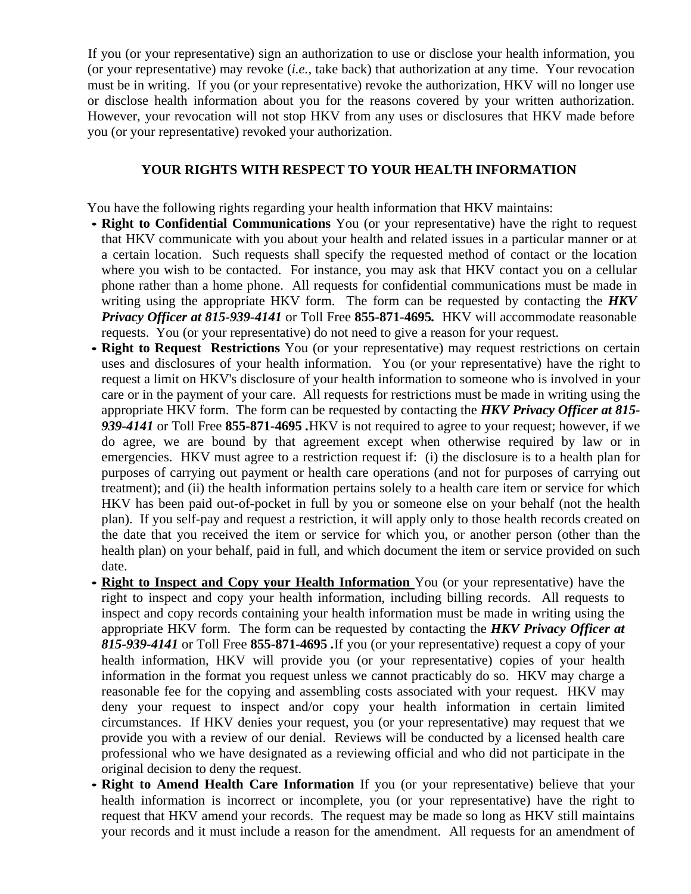If you (or your representative) sign an authorization to use or disclose your health information, you (or your representative) may revoke (*i.e.*, take back) that authorization at any time. Your revocation must be in writing. If you (or your representative) revoke the authorization, HKV will no longer use or disclose health information about you for the reasons covered by your written authorization. However, your revocation will not stop HKV from any uses or disclosures that HKV made before you (or your representative) revoked your authorization.

#### **YOUR RIGHTS WITH RESPECT TO YOUR HEALTH INFORMATION**

You have the following rights regarding your health information that HKV maintains:

- **Right to Confidential Communications** You (or your representative) have the right to request that HKV communicate with you about your health and related issues in a particular manner or at a certain location. Such requests shall specify the requested method of contact or the location where you wish to be contacted. For instance, you may ask that HKV contact you on a cellular phone rather than a home phone. All requests for confidential communications must be made in writing using the appropriate HKV form. The form can be requested by contacting the *HKV Privacy Officer at 815-939-4141* or Toll Free **855-871-4695***.* HKV will accommodate reasonable requests. You (or your representative) do not need to give a reason for your request.
- **Right to Request Restrictions** You (or your representative) may request restrictions on certain uses and disclosures of your health information. You (or your representative) have the right to request a limit on HKV's disclosure of your health information to someone who is involved in your care or in the payment of your care. All requests for restrictions must be made in writing using the appropriate HKV form. The form can be requested by contacting the *HKV Privacy Officer at 815- 939-4141* or Toll Free **855-871-4695** *.*HKV is not required to agree to your request; however, if we do agree, we are bound by that agreement except when otherwise required by law or in emergencies. HKV must agree to a restriction request if: (i) the disclosure is to a health plan for purposes of carrying out payment or health care operations (and not for purposes of carrying out treatment); and (ii) the health information pertains solely to a health care item or service for which HKV has been paid out-of-pocket in full by you or someone else on your behalf (not the health plan). If you self-pay and request a restriction, it will apply only to those health records created on the date that you received the item or service for which you, or another person (other than the health plan) on your behalf, paid in full, and which document the item or service provided on such date.
- **Right to Inspect and Copy your Health Information** You (or your representative) have the right to inspect and copy your health information, including billing records. All requests to inspect and copy records containing your health information must be made in writing using the appropriate HKV form. The form can be requested by contacting the *HKV Privacy Officer at 815-939-4141* or Toll Free **855-871-4695** *.*If you (or your representative) request a copy of your health information, HKV will provide you (or your representative) copies of your health information in the format you request unless we cannot practicably do so. HKV may charge a reasonable fee for the copying and assembling costs associated with your request. HKV may deny your request to inspect and/or copy your health information in certain limited circumstances. If HKV denies your request, you (or your representative) may request that we provide you with a review of our denial. Reviews will be conducted by a licensed health care professional who we have designated as a reviewing official and who did not participate in the original decision to deny the request.
- **Right to Amend Health Care Information** If you (or your representative) believe that your health information is incorrect or incomplete, you (or your representative) have the right to request that HKV amend your records. The request may be made so long as HKV still maintains your records and it must include a reason for the amendment. All requests for an amendment of